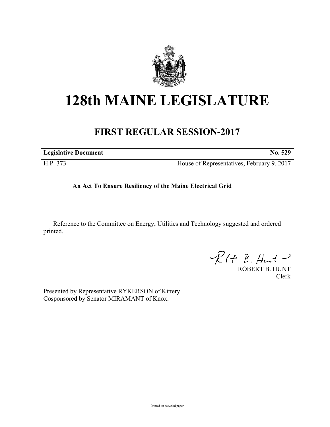

## **128th MAINE LEGISLATURE**

## **FIRST REGULAR SESSION-2017**

**Legislative Document No. 529**

H.P. 373 House of Representatives, February 9, 2017

## **An Act To Ensure Resiliency of the Maine Electrical Grid**

Reference to the Committee on Energy, Utilities and Technology suggested and ordered printed.

 $R(t B. H + )$ 

ROBERT B. HUNT Clerk

Presented by Representative RYKERSON of Kittery. Cosponsored by Senator MIRAMANT of Knox.